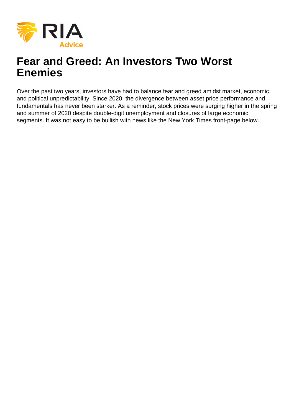

# **Fear and Greed: An Investors Two Worst Enemies**

Over the past two years, investors have had to balance fear and greed amidst market, economic, and political unpredictability. Since 2020, the divergence between asset price performance and fundamentals has never been starker. As a reminder, stock prices were surging higher in the spring and summer of 2020 despite double-digit unemployment and closures of large economic segments. It was not easy to be bullish with news like the New York Times front-page below.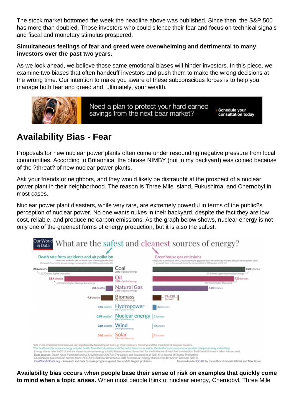The stock market bottomed the week the headline above was published. Since then, the S&P 500 has more than doubled. Those investors who could silence their fear and focus on technical signals and fiscal and monetary stimulus prospered.

Simultaneous feelings of fear and greed were overwhelming and detrimental to many investors over the past two years.

As we look ahead, we believe those same emotional biases will hinder investors. In this piece, we examine two biases that often handcuff investors and push them to make the wrong decisions at the wrong time. Our intention to make you aware of these subconscious forces is to help you manage both fear and greed and, ultimately, your wealth.

# Availability Bias - Fear

Proposals for new nuclear power plants often come under resounding negative pressure from local communities. According to Britannica, the phrase NIMBY (not in my backyard) was coined because of the ?threat? of new nuclear power plants.

Ask your friends or neighbors, and they would likely be distraught at the prospect of a nuclear power plant in their neighborhood. The reason is Three Mile Island, Fukushima, and Chernobyl in most cases.

Nuclear power plant disasters, while very rare, are extremely powerful in terms of the public?s perception of nuclear power. No one wants nukes in their backyard, despite the fact they are low cost, reliable, and produce no carbon emissions. As the graph below shows, nuclear energy is not only one of the greenest forms of energy production, but it is also the safest.

Availability bias occurs when people base their sense of risk on examples that quickly come to mind when a topic arises. When most people think of nuclear energy, Chernobyl, Three Mile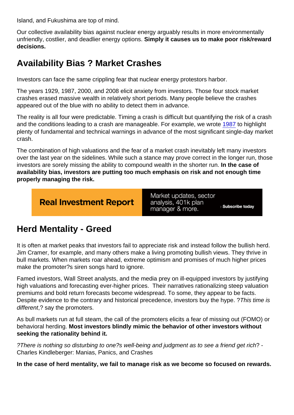Island, and Fukushima are top of mind.

Our collective availability bias against nuclear energy arguably results in more environmentally unfriendly, costlier, and deadlier energy options. Simply it causes us to make poor risk/reward decisions.

# Availability Bias ? Market Crashes

Investors can face the same crippling fear that nuclear energy protestors harbor.

The years 1929, 1987, 2000, and 2008 elicit anxiety from investors. Those four stock market crashes erased massive wealth in relatively short periods. Many people believe the crashes appeared out of the blue with no ability to detect them in advance.

The reality is all four were predictable. Timing a crash is difficult but quantifying the risk of a crash and the conditions leading to a crash are manageable. For example, we wrote [1987](https://realinvestmentadvice.com/1987/) to highlight plenty of fundamental and technical warnings in advance of the most significant single-day market crash.

The combination of high valuations and the fear of a market crash inevitably left many investors over the last year on the sidelines. While such a stance may prove correct in the longer run, those investors are sorely missing the ability to compound wealth in the shorter run. In the case of availability bias, investors are putting too much emphasis on risk and not enough time properly managing the risk.

## Herd Mentality - Greed

It is often at market peaks that investors fail to appreciate risk and instead follow the bullish herd. Jim Cramer, for example, and many others make a living promoting bullish views. They thrive in bull markets. When markets roar ahead, extreme optimism and promises of much higher prices make the promoter?s siren songs hard to ignore.

Famed investors, Wall Street analysts, and the media prey on ill-equipped investors by justifying high valuations and forecasting ever-higher prices. Their narratives rationalizing steep valuation premiums and bold return forecasts become widespread. To some, they appear to be facts. Despite evidence to the contrary and historical precedence, investors buy the hype. ?This time is different,? say the promoters.

As bull markets run at full steam, the call of the promoters elicits a fear of missing out (FOMO) or behavioral herding. Most investors blindly mimic the behavior of other investors without seeking the rationality behind it.

?There is nothing so disturbing to one?s well-being and judgment as to see a friend get rich? - Charles Kindleberger: Manias, Panics, and Crashes

In the case of herd mentality, we fail to manage risk as we become so focused on rewards.